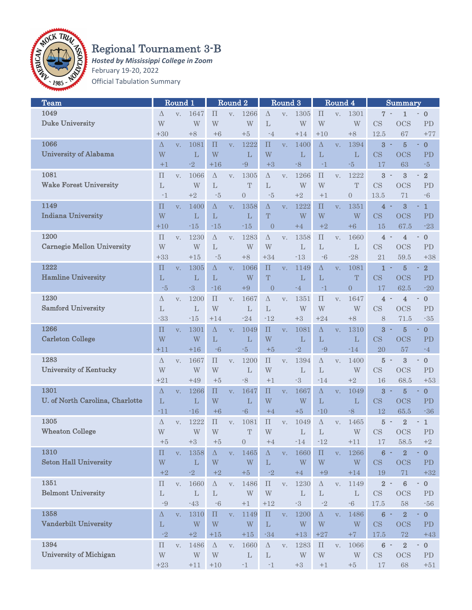

## Regional Tournament 3-B

*Hosted by Mississippi College in Zoom* February 19-20, 2022 Official Tabulation Summary

| <b>Team</b>                       |                    | Round <sub>1</sub> |              |                    | Round <sub>2</sub> |                | Round <sub>3</sub> |               | Round 4                 |              |                | Summary                 |                            |                         |                                                  |
|-----------------------------------|--------------------|--------------------|--------------|--------------------|--------------------|----------------|--------------------|---------------|-------------------------|--------------|----------------|-------------------------|----------------------------|-------------------------|--------------------------------------------------|
| 1049                              | Δ                  | V.                 | 1647         | $\Pi$              | V.                 | 1266           | $\Delta$           | V.            | 1305                    | $\prod$      | V.             | 1301                    | 7 -                        | 1                       | $\bf{0}$                                         |
| <b>Duke University</b>            | W                  |                    | W            | W                  |                    | W              | L                  |               | W                       | W            |                | W                       | <b>CS</b>                  | <b>OCS</b>              | PD                                               |
|                                   | $+30$              |                    | $+8$         | $+6$               |                    | $+5$           | $-4$               |               | $+14$                   | $+10$        |                | $+8$                    | 12.5                       | 67                      | $+77$                                            |
| 1066                              |                    |                    |              |                    |                    |                |                    |               |                         |              |                |                         |                            |                         |                                                  |
|                                   | Δ                  | V.                 | 1081         | П                  | V.                 | 1222           | $\prod$            | V.            | 1400                    | Δ            | V.             | 1394                    | 3                          | 5                       | $\bf{0}$                                         |
| <b>University of Alabama</b>      | W                  |                    | L            | W                  |                    | L              | W                  |               | L                       | L            |                | L                       | CS                         | <b>OCS</b>              | PD                                               |
|                                   | $+1$               |                    | $-2$         | $+16$              |                    | $-9$           | $+3$               |               | $-8$                    | $-1$         |                | $-5$                    | 17                         | 63                      | $-5$                                             |
| 1081                              | $\prod$            | V.                 | 1066         | $\Delta$           | V.                 | 1305           | $\Delta$           | V.            | 1266                    | $\prod$      | V.             | 1222                    | $\overline{3}$<br>$\sim$   | 3                       | $\sqrt{2}$<br>۰                                  |
| <b>Wake Forest University</b>     | $\mathbf{L}$       |                    | W            | L                  |                    | T              | L                  |               | W                       | W            |                | $\mathbf T$             | CS                         | <b>OCS</b>              | <b>PD</b>                                        |
|                                   | $-1$               |                    | $+2$         | $-5$               |                    | $\overline{0}$ | $-5$               |               | $+2$                    | $+1$         |                | $\overline{0}$          | 13.5                       | 71                      | $-6$                                             |
| 1149                              | $\prod$            | V.                 | 1400         | $\Delta$           | V.                 | 1358           | $\Delta$           | V.            | 1222                    | $\Pi$        | V.             | 1351                    | $\overline{4}$             | $\overline{\mathbf{3}}$ | $\mathbf{1}$                                     |
| <b>Indiana University</b>         | W                  |                    | L            | L                  |                    | L              | T                  |               | W                       | W            |                | W                       | CS                         | <b>OCS</b>              | PD                                               |
|                                   | $+10$              |                    | $-15$        | $-15$              |                    | $-15$          | $\overline{0}$     |               | $+4$                    | $+2$         |                | $+6$                    | 15                         | 67.5                    | $-23$                                            |
| 1200                              | $\prod$            | V.                 | 1230         | Δ                  | V.                 | 1283           | $\Delta$           | V.            | 1358                    | $\prod$      | V.             | 1660                    | 4                          | 4                       | $\boldsymbol{0}$<br>$\qquad \qquad \blacksquare$ |
| <b>Carnegie Mellon University</b> | W                  |                    | W            | L                  |                    | W              | W                  |               | L                       | L            |                | L                       | CS                         | <b>OCS</b>              | PD                                               |
|                                   | $+33$              |                    | $+15$        | -5                 |                    | $+8$           | $+34$              |               | $-13$                   | $-6$         |                | $-28$                   | 21                         | 59.5                    | $+38$                                            |
| 1222                              | $\prod$            |                    | 1305         | $\Delta$           |                    | 1066           | $\Pi$              |               | 1149                    | $\Delta$     |                | 1081                    | $\mathbf{1}$               | $\overline{5}$          | $\bf{2}$                                         |
| <b>Hamline University</b>         |                    | V.                 |              |                    | V.                 |                |                    | V.            |                         |              | V.             |                         |                            |                         |                                                  |
|                                   | $\mathbf{L}$       |                    | $\mathbf{L}$ | $\mathbf{L}$       |                    | W              | $\mathbf T$        |               | $\mathbf{L}$            | L            |                | $\mathbf T$             | CS                         | <b>OCS</b>              | PD                                               |
|                                   | -5                 |                    | $-3$         | $-16$              |                    | $+9$           | $\overline{0}$     |               | $-4$                    | -1           |                | $\overline{0}$          | 17                         | 62.5                    | $-20$                                            |
| 1230                              | Δ                  | V.                 | 1200         | $\Pi$              | V.                 | 1667           | $\Delta$           | V.            | 1351                    | $\Pi$        | V.             | 1647                    | $\overline{4}$             | 4                       | $\bf{0}$                                         |
| <b>Samford University</b>         | L                  |                    | L            | W                  |                    | L              | L                  |               | W                       | W            |                | W                       | <b>CS</b>                  | <b>OCS</b>              | PD                                               |
|                                   | $-33$              |                    | $-15$        | $+14$              |                    | $-24$          | $-12$              |               | $+3$                    | $+24$        |                | $+8$                    | 8                          | 71.5                    | $-35$                                            |
| 1266                              | П                  | V.                 | 1301         | Δ                  | V.                 | 1049           | $\prod$            | V.            | 1081                    | Δ            | V.             | 1310                    | $\overline{\mathbf{3}}$    | 5                       | $\bf{0}$                                         |
| <b>Carleton College</b>           | W                  |                    | W            | L                  |                    | L              | W                  |               | L                       | L            |                | L                       | CS                         | <b>OCS</b>              | PD                                               |
|                                   | +11                |                    | $+16$        | $-6$               |                    | $-5$           | $+5$               |               | $-2$                    | -9           |                | $-14$                   | 20                         | 57                      | $-4$                                             |
| 1283                              | Δ                  | V.                 | 1667         | $\prod$            | V.                 | 1200           | $\prod$            | V.            | 1394                    | Δ            | V.             | 1400                    | $\overline{5}$<br>$\sim$   | 3                       | $\mathbf{0}$<br>٠                                |
| <b>University of Kentucky</b>     | W                  |                    | W            | W                  |                    | $\mathbf{L}$   | W                  |               | $\mathbf{L}$            | $\mathbf{L}$ |                | W                       | CS                         | <b>OCS</b>              | PD                                               |
|                                   | $+21$              |                    | $+49$        | $+5$               |                    | $-8$           | $+1$               |               | $-3$                    | $-14$        |                | $+2$                    | 16                         | 68.5                    | $+53$                                            |
| 1301                              | Δ                  | V.                 | 1266         | $\Pi$              | V.                 | 1647           | $\Pi$              | V.            | 1667                    | Δ            | V.             | 1049                    | $\bf{3}$                   | $\overline{5}$          | $\bf{0}$                                         |
| U. of North Carolina, Charlotte   | L                  |                    | L            | W                  |                    | L              | W                  |               | W                       | L            |                | $\mathbf{L}$            | CS                         | <b>OCS</b>              | PD                                               |
|                                   | -11                |                    | $-16$        | $+6$               |                    | $-6$           | $+4$               |               | $+5$                    | $-10$        |                | $-8$                    | 12                         | 65.5                    | $-36$                                            |
|                                   |                    |                    |              |                    |                    |                |                    |               |                         |              |                |                         |                            |                         |                                                  |
| 1305                              | Δ                  | V.                 | 1222         | $\prod$            | V.                 | 1081           | $\prod$            | V.            | 1049                    | $\Delta$     | V.             | 1465                    | 5                          | $\overline{2}$          | $1\,$<br>$\overline{a}$                          |
| <b>Wheaton College</b>            | W                  |                    | W            | W                  |                    | T              | W                  |               | L                       | L            |                | W                       | <b>CS</b>                  | <b>OCS</b>              | PD                                               |
|                                   | $+5$               |                    | $+3$         | $+5$               |                    | $\overline{0}$ | $+4$               |               | -14                     | $-12$        |                | $+11$                   | 17                         | 58.5                    | $+2$                                             |
| 1310                              | $\boldsymbol{\Pi}$ | $V_{\star}$        | 1358         | $\Delta$           | $V_{\star}$        | 1465           | $\Delta$           | $V_{\star}$   | 1660                    | $\prod$      | V <sub>1</sub> | 1266                    | $6 -$                      | $\overline{2}$          | $\bf{0}$<br>٠                                    |
| <b>Seton Hall University</b>      | W                  |                    | L            | W                  |                    | W              | $\mathbf L$        |               | W                       | W            |                | $\ensuremath{\text{W}}$ | CS                         | <b>OCS</b>              | PD                                               |
|                                   | $+2$               |                    | $-2$         | $+2$               |                    | $+5$           | $^{\text{-}2}$     |               | $+4$                    | $+9$         |                | $+14$                   | 19                         | 71                      | $+32\,$                                          |
| 1351                              | $\boldsymbol{\Pi}$ | V.                 | 1660         | $\Delta$           | V.                 | 1486           | $\Pi$              | V.            | 1230                    | $\Delta$     | V.             | 1149                    | $2 -$                      | $\bf 6$                 | $\boldsymbol{0}$<br>$\overline{a}$               |
| <b>Belmont University</b>         | $\mathbf L$        |                    | $\mathbf{L}$ | $\mathbf{L}$       |                    | W              | W                  |               | $\mathbf L$             | $\mathbf L$  |                | $\mathbf L$             | $\mathop{\rm CS}\nolimits$ | <b>OCS</b>              | PD                                               |
|                                   | $-9$               |                    | $-43$        | $\mbox{-} 6$       |                    | $+1$           | $+12$              |               | $-3$                    | $-2$         |                | $\mbox{-} 6$            | $17.5\,$                   | 58                      | $-56$                                            |
| 1358                              | $\Delta$           | V.                 | 1310         | $\boldsymbol{\Pi}$ | V.                 | 1149           | $\boldsymbol{\Pi}$ | V.            | 1200                    | $\Delta$     | V.             | 1486                    | $6 -$                      | $\overline{\mathbf{2}}$ | $\pmb{0}$<br>$\overline{a}$                      |
| <b>Vanderbilt University</b>      | L                  |                    | W            | W                  |                    | W              | $\mathbf{L}$       |               | W                       | W            |                | W                       | CS                         | <b>OCS</b>              | PD                                               |
|                                   | $-2$               |                    | $+2$         | $+15$              |                    | $+15$          | $-34$              |               | $+13$                   | $+27$        |                | $+7$                    | 17.5                       | $\sqrt{72}$             | $+43$                                            |
| 1394                              | $\boldsymbol{\Pi}$ |                    | 1486         | $\Delta$           |                    | 1660           | $\Delta$           |               | 1283                    | $\prod$      |                | 1066                    | $6 -$                      | $\,2$                   | $\boldsymbol{0}$<br>$\sim$                       |
| <b>University of Michigan</b>     |                    | V.                 |              |                    | V.                 |                |                    | $\mathbf{V}.$ |                         |              | V.             |                         |                            |                         |                                                  |
|                                   | W                  |                    | W            | W                  |                    | $\mathbf{L}$   | $\mathbf{L}$       |               | $\ensuremath{\text{W}}$ | W            |                | $\ensuremath{\text{W}}$ | CS                         | <b>OCS</b>              | PD                                               |
|                                   | $+23$              |                    | $+11$        | $+10$              |                    | $-1$           | $-1$               |               | $\pm3$                  | $+1$         |                | $+5\,$                  | $17\,$                     | 68                      | $+51$                                            |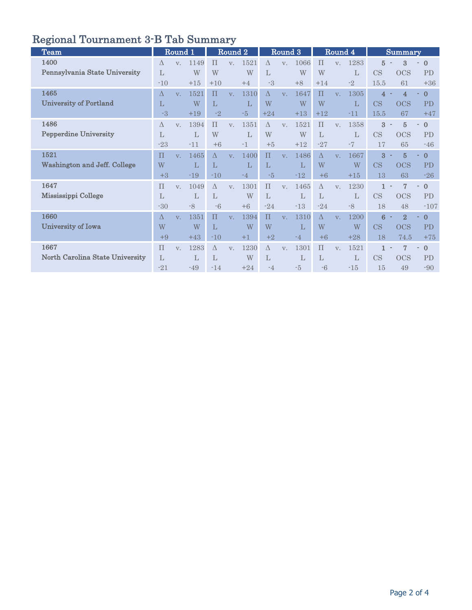# Regional Tournament 3-B Tab Summary

| <b>Team</b>                             |                                    | Round 1        |                              |                         | Round 2        |                    |                                | Round 3 |                    |                         | Round 4        |                    |                              | <b>Summary</b>                       |                                     |
|-----------------------------------------|------------------------------------|----------------|------------------------------|-------------------------|----------------|--------------------|--------------------------------|---------|--------------------|-------------------------|----------------|--------------------|------------------------------|--------------------------------------|-------------------------------------|
| 1400<br>Pennsylvania State University   | $\Lambda$<br>$\mathbf{L}$<br>$-10$ | $V_{\cdot}$    | 1149<br>W<br>$+15$           | $\Pi$<br>W<br>$+10$     | V.             | 1521<br>W<br>$+4$  | Δ<br>L<br>-3                   | V.      | 1066<br>W<br>$+8$  | $\Pi$<br>W<br>$+14$     | V.             | 1283<br>L<br>$-2$  | $\overline{5}$<br>CS<br>15.5 | 3<br><b>OCS</b><br>61                | $\mathbf{0}$<br><b>PD</b><br>$+36$  |
| 1465<br>University of Portland          | $\Delta$<br>$\mathbf{L}$<br>$-3$   | V <sub>1</sub> | 1521<br>W<br>$+19$           | $\Pi$<br>L<br>$-2$      | V <sub>1</sub> | 1310<br>L<br>$-5$  | $\Lambda$<br>W<br>$+24$        | V.      | 1647<br>W<br>$+13$ | $\Pi$<br>W<br>$+12$     | V <sub>1</sub> | 1305<br>L<br>$-11$ | 4<br>CS<br>15.5              | $\overline{4}$<br><b>OCS</b><br>67   | $\mathbf{0}$<br>PD<br>$+47$         |
| 1486<br><b>Pepperdine University</b>    | $\Delta$<br>$\mathbf{L}$<br>$-23$  | $V_{\perp}$    | 1394<br>L<br>$-11$           | $\Pi$<br>W<br>$+6$      | $V_{\cdot}$    | 1351<br>L<br>$-1$  | $\Delta$<br>W<br>$+5$          | V.      | 1521<br>W<br>$+12$ | $\Pi$<br>L<br>$-27$     | V.             | 1358<br>L<br>$-7$  | 3<br>CS<br>17                | $\overline{5}$<br><b>OCS</b><br>65   | $\mathbf{0}$<br>PD<br>$-46$         |
| 1521<br>Washington and Jeff. College    | $\Pi$<br>W<br>$+3$                 | $V_{\cdot}$    | 1465<br>L<br>$-19$           | $\Lambda$<br>L<br>$-10$ | $V_{\cdot}$    | 1400<br>L<br>$-4$  | $\Pi$<br>L<br>$-5$             | V.      | 1486<br>L<br>$-12$ | $\Lambda$<br>W<br>$+6$  | V.             | 1667<br>W<br>$+15$ | 3<br>CS<br>13                | $\overline{5}$<br><b>OCS</b><br>63   | $\mathbf{0}$<br>PD<br>$-26$         |
| 1647<br>Mississippi College             | $\Pi$<br>$\mathbf{L}$<br>$-30$     | V.             | 1049<br>$\mathbf{L}$<br>$-8$ | $\Lambda$<br>L<br>$-6$  | $V_{\cdot}$    | 1301<br>W<br>$+6$  | $\Pi$<br>$\mathbf{L}$<br>$-24$ | V.      | 1465<br>L<br>$-13$ | $\Lambda$<br>L<br>$-24$ | V.             | 1230<br>L<br>$-8$  | 1<br>CS<br>18                | 7<br><b>OCS</b><br>48                | $\mathbf{0}$<br><b>PD</b><br>$-107$ |
| 1660<br>University of Iowa              | $\Delta$<br>W<br>$+9$              | $V_{\cdot}$    | 1351<br>W<br>$+43$           | $\Pi$<br>L<br>$-10$     | V.             | 1394<br>W<br>$+1$  | $\Pi$<br>W<br>$+2$             | V.      | 1310<br>L<br>-4    | $\Delta$<br>W<br>$+6$   | V.             | 1200<br>W<br>$+28$ | 6<br>CS<br>18                | $\overline{2}$<br><b>OCS</b><br>74.5 | $\mathbf{0}$<br>PD<br>$+75$         |
| 1667<br>North Carolina State University | $\Pi$<br>$\mathbf{L}$<br>$-21$     | V.             | 1283<br>L<br>$-49$           | $\Lambda$<br>L<br>$-14$ | $V_{\cdot}$    | 1230<br>W<br>$+24$ | $\Lambda$<br>L<br>$-4$         | V.      | 1301<br>L<br>$-5$  | $\Pi$<br>L<br>$-6$      | $V_{\cdot}$    | 1521<br>L<br>$-15$ | 1<br>CS<br>15                | $\overline{7}$<br><b>OCS</b><br>49   | $\mathbf{0}$<br>PD<br>$-90$         |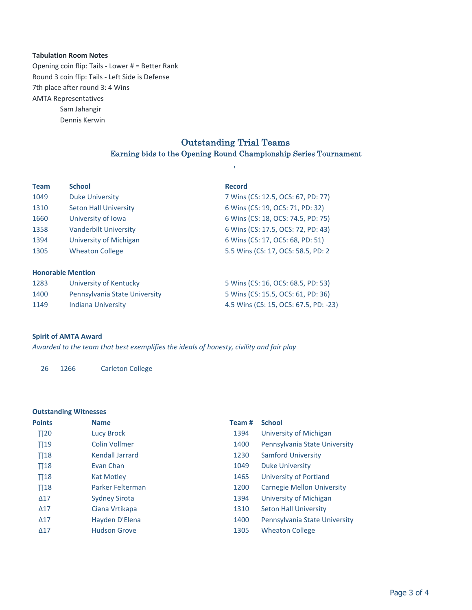### **Tabulation Room Notes**

7th place after round 3: 4 Wins **AMTA Representatives** Sam Jahangir Opening coin flip: Tails - Lower  $# =$  Better Rank Round 3 coin flip: Tails - Left Side is Defense

Dennis Kerwin

## Outstanding Trial Teams Earning bids to the Opening Round Championship Series Tournament

,

| <b>Team</b>              | <b>School</b>                 | <b>Record</b>                         |
|--------------------------|-------------------------------|---------------------------------------|
| 1049                     | <b>Duke University</b>        | 7 Wins (CS: 12.5, OCS: 67, PD: 77)    |
| 1310                     | <b>Seton Hall University</b>  | 6 Wins (CS: 19, OCS: 71, PD: 32)      |
| 1660                     | University of Iowa            | 6 Wins (CS: 18, OCS: 74.5, PD: 75)    |
| 1358                     | <b>Vanderbilt University</b>  | 6 Wins (CS: 17.5, OCS: 72, PD: 43)    |
| 1394                     | University of Michigan        | 6 Wins (CS: 17, OCS: 68, PD: 51)      |
| 1305                     | <b>Wheaton College</b>        | 5.5 Wins (CS: 17, OCS: 58.5, PD: 2)   |
| <b>Honorable Mention</b> |                               |                                       |
| 1283                     | University of Kentucky        | 5 Wins (CS: 16, OCS: 68.5, PD: 53)    |
| 1400                     | Pennsylvania State University | 5 Wins (CS: 15.5, OCS: 61, PD: 36)    |
| 1149                     | <b>Indiana University</b>     | 4.5 Wins (CS: 15, OCS: 67.5, PD: -23) |

### **Spirit of AMTA Award**

Awarded to the team that best exemplifies the ideals of honesty, civility and fair play

26 1266 Carleton College

## **Outstanding Witnesses**

| <b>Points</b>       | <b>Name</b>          | Team# | <b>School</b>                     |
|---------------------|----------------------|-------|-----------------------------------|
| $\Pi$ <sub>20</sub> | <b>Lucy Brock</b>    | 1394  | University of Michigan            |
| $\Pi$ 19            | <b>Colin Vollmer</b> | 1400  | Pennsylvania State University     |
| $\Pi$ 18            | Kendall Jarrard      | 1230  | <b>Samford University</b>         |
| $\Pi$ 18            | Evan Chan            | 1049  | <b>Duke University</b>            |
| $\Pi$ 18            | Kat Motley           | 1465  | University of Portland            |
| $\Pi$ 18            | Parker Felterman     | 1200  | <b>Carnegie Mellon University</b> |
| $\Delta$ 17         | <b>Sydney Sirota</b> | 1394  | University of Michigan            |
| $\Delta$ 17         | Ciana Vrtikapa       | 1310  | <b>Seton Hall University</b>      |
| $\Delta$ 17         | Hayden D'Elena       | 1400  | Pennsylvania State University     |
| $\Delta$ 17         | <b>Hudson Grove</b>  | 1305  | <b>Wheaton College</b>            |
|                     |                      |       |                                   |